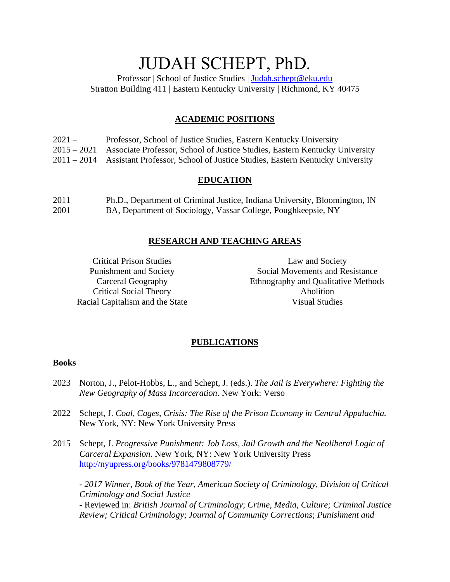# JUDAH SCHEPT, PhD.

Professor | School of Justice Studies | [Judah.schept@eku.edu](mailto:Judah.schept@eku.edu) Stratton Building 411 | Eastern Kentucky University | Richmond, KY 40475

## **ACADEMIC POSITIONS**

| $2021-$ | Professor, School of Justice Studies, Eastern Kentucky University                       |
|---------|-----------------------------------------------------------------------------------------|
|         | 2015 – 2021 Associate Professor, School of Justice Studies, Eastern Kentucky University |
|         | 2011 – 2014 Assistant Professor, School of Justice Studies, Eastern Kentucky University |

## **EDUCATION**

| 2011 | Ph.D., Department of Criminal Justice, Indiana University, Bloomington, IN |
|------|----------------------------------------------------------------------------|
| 2001 | BA, Department of Sociology, Vassar College, Poughkeepsie, NY              |

#### **RESEARCH AND TEACHING AREAS**

Critical Prison Studies Punishment and Society Carceral Geography Critical Social Theory Racial Capitalism and the State

Law and Society Social Movements and Resistance Ethnography and Qualitative Methods Abolition Visual Studies

## **PUBLICATIONS**

#### **Books**

- 2023 Norton, J., Pelot-Hobbs, L., and Schept, J. (eds.). *The Jail is Everywhere: Fighting the New Geography of Mass Incarceration*. New York: Verso
- 2022 Schept, J. *Coal, Cages, Crisis: The Rise of the Prison Economy in Central Appalachia.* New York, NY: New York University Press
- 2015 Schept, J. *Progressive Punishment: Job Loss, Jail Growth and the Neoliberal Logic of Carceral Expansion.* New York, NY: New York University Press <http://nyupress.org/books/9781479808779/>

*- 2017 Winner, Book of the Year, American Society of Criminology, Division of Critical Criminology and Social Justice*

- Reviewed in: *British Journal of Criminology*; *Crime, Media, Culture; Criminal Justice Review; Critical Criminology*; *Journal of Community Corrections*; *Punishment and*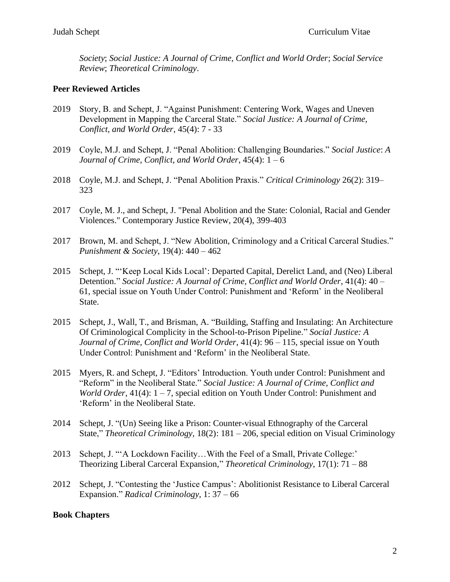*Society*; *Social Justice: A Journal of Crime, Conflict and World Order*; *Social Service Review*; *Theoretical Criminology*.

## **Peer Reviewed Articles**

- 2019 Story, B. and Schept, J. "Against Punishment: Centering Work, Wages and Uneven Development in Mapping the Carceral State." *Social Justice: A Journal of Crime, Conflict, and World Order*, 45(4): 7 - 33
- 2019 Coyle, M.J. and Schept, J. "Penal Abolition: Challenging Boundaries." *Social Justice*: *A Journal of Crime, Conflict, and World Order*, 45(4): 1 – 6
- 2018 Coyle, M.J. and Schept, J. "Penal Abolition Praxis." *Critical Criminology* 26(2): 319– 323
- 2017 Coyle, M. J., and Schept, J. "Penal Abolition and the State: Colonial, Racial and Gender Violences." Contemporary Justice Review, 20(4), 399-403
- 2017 Brown, M. and Schept, J. "New Abolition, Criminology and a Critical Carceral Studies." *Punishment & Society,* 19(4): 440 – 462
- 2015 Schept, J. "'Keep Local Kids Local': Departed Capital, Derelict Land, and (Neo) Liberal Detention." *Social Justice: A Journal of Crime, Conflict and World Order*, 41(4): 40 – 61, special issue on Youth Under Control: Punishment and 'Reform' in the Neoliberal State.
- 2015 Schept, J., Wall, T., and Brisman, A. "Building, Staffing and Insulating: An Architecture Of Criminological Complicity in the School-to-Prison Pipeline." *Social Justice: A Journal of Crime, Conflict and World Order*, 41(4): 96 – 115, special issue on Youth Under Control: Punishment and 'Reform' in the Neoliberal State.
- 2015 Myers, R. and Schept, J. "Editors' Introduction. Youth under Control: Punishment and "Reform" in the Neoliberal State." *Social Justice: A Journal of Crime, Conflict and World Order*, 41(4): 1 – 7, special edition on Youth Under Control: Punishment and 'Reform' in the Neoliberal State.
- 2014 Schept, J. "(Un) Seeing like a Prison: Counter-visual Ethnography of the Carceral State," *Theoretical Criminology,* 18(2): 181 – 206, special edition on Visual Criminology
- 2013 Schept, J. "A Lockdown Facility... With the Feel of a Small, Private College:' Theorizing Liberal Carceral Expansion," *Theoretical Criminology*, 17(1): 71 – 88
- 2012 Schept, J. "Contesting the 'Justice Campus': Abolitionist Resistance to Liberal Carceral Expansion." *Radical Criminology*, 1: 37 – 66

#### **Book Chapters**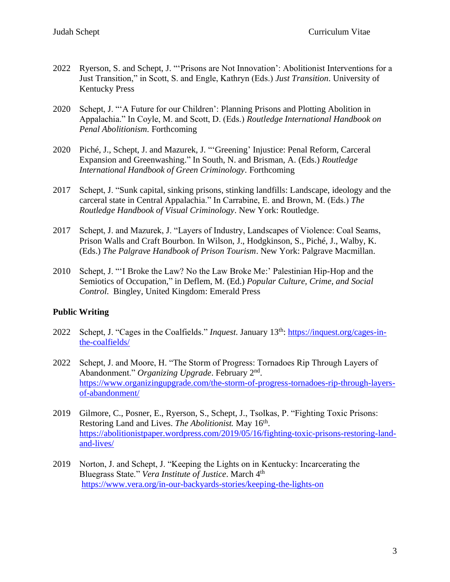- 2022 Ryerson, S. and Schept, J. "'Prisons are Not Innovation': Abolitionist Interventions for a Just Transition," in Scott, S. and Engle, Kathryn (Eds.) *Just Transition*. University of Kentucky Press
- 2020 Schept, J. "'A Future for our Children': Planning Prisons and Plotting Abolition in Appalachia." In Coyle, M. and Scott, D. (Eds.) *Routledge International Handbook on Penal Abolitionism.* Forthcoming
- 2020 Piché, J., Schept, J. and Mazurek, J. "'Greening' Injustice: Penal Reform, Carceral Expansion and Greenwashing." In South, N. and Brisman, A. (Eds.) *Routledge International Handbook of Green Criminology*. Forthcoming
- 2017 Schept, J. "Sunk capital, sinking prisons, stinking landfills: Landscape, ideology and the carceral state in Central Appalachia." In Carrabine, E. and Brown, M. (Eds.) *The Routledge Handbook of Visual Criminology*. New York: Routledge.
- 2017 Schept, J. and Mazurek, J. "Layers of Industry, Landscapes of Violence: Coal Seams, Prison Walls and Craft Bourbon. In Wilson, J., Hodgkinson, S., Piché, J., Walby, K. (Eds.) *The Palgrave Handbook of Prison Tourism*. New York: Palgrave Macmillan.
- 2010 Schept, J. "'I Broke the Law? No the Law Broke Me:' Palestinian Hip-Hop and the Semiotics of Occupation," in Deflem, M. (Ed.) *Popular Culture, Crime, and Social Control*. Bingley, United Kingdom: Emerald Press

## **Public Writing**

- 2022 Schept, J. "Cages in the Coalfields." *Inquest*. January 13th: [https://inquest.org/cages-in](https://inquest.org/cages-in-the-coalfields/)[the-coalfields/](https://inquest.org/cages-in-the-coalfields/)
- 2022 Schept, J. and Moore, H. "The Storm of Progress: Tornadoes Rip Through Layers of Abandonment." *Organizing Upgrade*. February 2nd . [https://www.organizingupgrade.com/the-storm-of-progress-tornadoes-rip-through-layers](https://www.organizingupgrade.com/the-storm-of-progress-tornadoes-rip-through-layers-of-abandonment/)[of-abandonment/](https://www.organizingupgrade.com/the-storm-of-progress-tornadoes-rip-through-layers-of-abandonment/)
- 2019 Gilmore, C., Posner, E., Ryerson, S., Schept, J., Tsolkas, P. "Fighting Toxic Prisons: Restoring Land and Lives. *The Abolitionist*. May 16<sup>th</sup>. [https://abolitionistpaper.wordpress.com/2019/05/16/fighting-toxic-prisons-restoring-land](https://abolitionistpaper.wordpress.com/2019/05/16/fighting-toxic-prisons-restoring-land-and-lives/)[and-lives/](https://abolitionistpaper.wordpress.com/2019/05/16/fighting-toxic-prisons-restoring-land-and-lives/)
- 2019 Norton, J. and Schept, J. "Keeping the Lights on in Kentucky: Incarcerating the Bluegrass State." *Vera Institute of Justice*. March 4th <https://www.vera.org/in-our-backyards-stories/keeping-the-lights-on>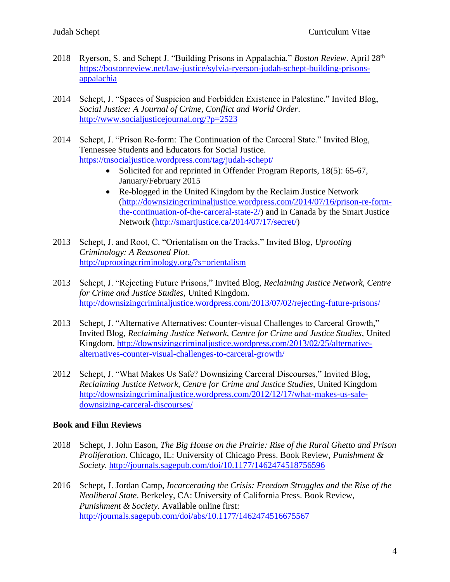- 2018 Ryerson, S. and Schept J. "Building Prisons in Appalachia." *Boston Review*. April 28th [https://bostonreview.net/law-justice/sylvia-ryerson-judah-schept-building-prisons](https://bostonreview.net/law-justice/sylvia-ryerson-judah-schept-building-prisons-appalachia)[appalachia](https://bostonreview.net/law-justice/sylvia-ryerson-judah-schept-building-prisons-appalachia)
- 2014 Schept, J. "Spaces of Suspicion and Forbidden Existence in Palestine." Invited Blog, *Social Justice: A Journal of Crime, Conflict and World Order*. <http://www.socialjusticejournal.org/?p=2523>
- 2014 Schept, J. "Prison Re-form: The Continuation of the Carceral State." Invited Blog, Tennessee Students and Educators for Social Justice. <https://tnsocialjustice.wordpress.com/tag/judah-schept/>
	- Solicited for and reprinted in Offender Program Reports, 18(5): 65-67, January/February 2015
	- Re-blogged in the United Kingdom by the Reclaim Justice Network [\(http://downsizingcriminaljustice.wordpress.com/2014/07/16/prison-re-form](http://downsizingcriminaljustice.wordpress.com/2014/07/16/prison-re-form-the-continuation-of-the-carceral-state-2/)[the-continuation-of-the-carceral-state-2/\)](http://downsizingcriminaljustice.wordpress.com/2014/07/16/prison-re-form-the-continuation-of-the-carceral-state-2/) and in Canada by the Smart Justice Network [\(http://smartjustice.ca/2014/07/17/secret/\)](http://smartjustice.ca/2014/07/17/secret/)
- 2013 Schept, J. and Root, C. "Orientalism on the Tracks." Invited Blog, *Uprooting Criminology: A Reasoned Plot*. <http://uprootingcriminology.org/?s=orientalism>
- 2013 Schept, J. "Rejecting Future Prisons," Invited Blog, *Reclaiming Justice Network, Centre for Crime and Justice Studies,* United Kingdom. <http://downsizingcriminaljustice.wordpress.com/2013/07/02/rejecting-future-prisons/>
- 2013 Schept, J. "Alternative Alternatives: Counter-visual Challenges to Carceral Growth," Invited Blog, *Reclaiming Justice Network, Centre for Crime and Justice Studies,* United Kingdom. [http://downsizingcriminaljustice.wordpress.com/2013/02/25/alternative](http://downsizingcriminaljustice.wordpress.com/2013/02/25/alternative-alternatives-counter-visual-challenges-to-carceral-growth/)[alternatives-counter-visual-challenges-to-carceral-growth/](http://downsizingcriminaljustice.wordpress.com/2013/02/25/alternative-alternatives-counter-visual-challenges-to-carceral-growth/)
- 2012 Schept, J. "What Makes Us Safe? Downsizing Carceral Discourses," Invited Blog, *Reclaiming Justice Network, Centre for Crime and Justice Studies*, United Kingdom [http://downsizingcriminaljustice.wordpress.com/2012/12/17/what-makes-us-safe](http://downsizingcriminaljustice.wordpress.com/2012/12/17/what-makes-us-safe-downsizing-carceral-discourses/)[downsizing-carceral-discourses/](http://downsizingcriminaljustice.wordpress.com/2012/12/17/what-makes-us-safe-downsizing-carceral-discourses/)

## **Book and Film Reviews**

- 2018 Schept, J. John Eason, *The Big House on the Prairie: Rise of the Rural Ghetto and Prison Proliferation*. Chicago, IL: University of Chicago Press. Book Review, *Punishment & Society*.<http://journals.sagepub.com/doi/10.1177/1462474518756596>
- 2016 Schept, J. Jordan Camp, *Incarcerating the Crisis: Freedom Struggles and the Rise of the Neoliberal State*. Berkeley, CA: University of California Press. Book Review, *Punishment & Society*. Available online first: <http://journals.sagepub.com/doi/abs/10.1177/1462474516675567>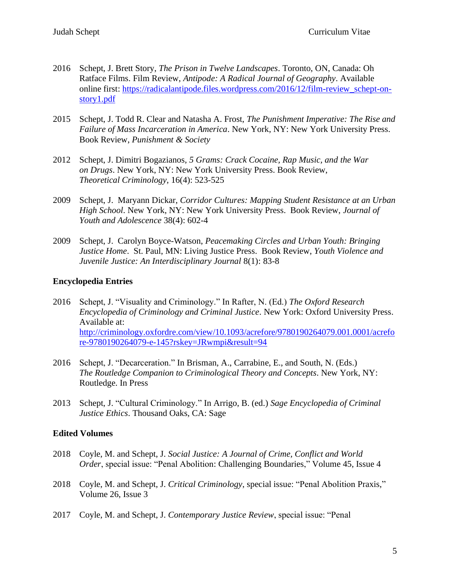- 2016 Schept, J. Brett Story, *The Prison in Twelve Landscapes*. Toronto, ON, Canada: Oh Ratface Films. Film Review, *Antipode: A Radical Journal of Geography*. Available online first: [https://radicalantipode.files.wordpress.com/2016/12/film-review\\_schept-on](https://radicalantipode.files.wordpress.com/2016/12/film-review_schept-on-story1.pdf)[story1.pdf](https://radicalantipode.files.wordpress.com/2016/12/film-review_schept-on-story1.pdf)
- 2015 Schept, J. Todd R. Clear and Natasha A. Frost, *The Punishment Imperative: The Rise and Failure of Mass Incarceration in America*. New York, NY: New York University Press. Book Review, *Punishment & Society*
- 2012 Schept, J. Dimitri Bogazianos, *5 Grams: Crack Cocaine, Rap Music, and the War on Drugs*. New York, NY: New York University Press. Book Review, *Theoretical Criminology*, 16(4): 523-525
- 2009 Schept, J. Maryann Dickar, *Corridor Cultures: Mapping Student Resistance at an Urban High School*. New York, NY: New York University Press. Book Review, *Journal of Youth and Adolescence* 38(4): 602-4
- 2009 Schept, J. Carolyn Boyce-Watson, *Peacemaking Circles and Urban Youth: Bringing Justice Home*. St. Paul, MN: Living Justice Press. Book Review, *Youth Violence and Juvenile Justice: An Interdisciplinary Journal* 8(1): 83-8

#### **Encyclopedia Entries**

- 2016 Schept, J. "Visuality and Criminology." In Rafter, N. (Ed.) *The Oxford Research Encyclopedia of Criminology and Criminal Justice*. New York: Oxford University Press. Available at: [http://criminology.oxfordre.com/view/10.1093/acrefore/9780190264079.001.0001/acrefo](http://criminology.oxfordre.com/view/10.1093/acrefore/9780190264079.001.0001/acrefore-9780190264079-e-145?rskey=JRwmpi&result=94) [re-9780190264079-e-145?rskey=JRwmpi&result=94](http://criminology.oxfordre.com/view/10.1093/acrefore/9780190264079.001.0001/acrefore-9780190264079-e-145?rskey=JRwmpi&result=94)
- 2016 Schept, J. "Decarceration." In Brisman, A., Carrabine, E., and South, N. (Eds.) *The Routledge Companion to Criminological Theory and Concepts*. New York, NY: Routledge. In Press
- 2013 Schept, J. "Cultural Criminology." In Arrigo, B. (ed.) *Sage Encyclopedia of Criminal Justice Ethics*. Thousand Oaks, CA: Sage

#### **Edited Volumes**

- 2018 Coyle, M. and Schept, J. *Social Justice: A Journal of Crime, Conflict and World Order*, special issue: "Penal Abolition: Challenging Boundaries," Volume 45, Issue 4
- 2018 Coyle, M. and Schept, J. *Critical Criminology*, special issue: "Penal Abolition Praxis," Volume 26, Issue 3
- 2017 Coyle, M. and Schept, J. *Contemporary Justice Review*, special issue: "Penal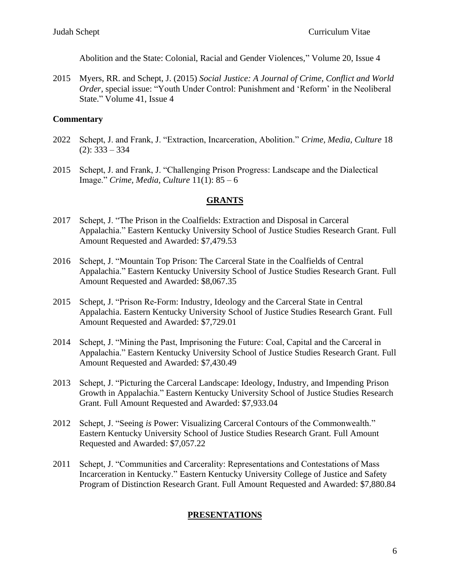Abolition and the State: Colonial, Racial and Gender Violences," Volume 20, Issue 4

2015 Myers, RR. and Schept, J. (2015) *Social Justice: A Journal of Crime, Conflict and World Order*, special issue: "Youth Under Control: Punishment and 'Reform' in the Neoliberal State." Volume 41, Issue 4

## **Commentary**

- 2022 Schept, J. and Frank, J. "Extraction, Incarceration, Abolition." *Crime, Media, Culture* 18  $(2): 333 - 334$
- 2015 Schept, J. and Frank, J. "Challenging Prison Progress: Landscape and the Dialectical Image." *Crime, Media, Culture* 11(1): 85 – 6

#### **GRANTS**

- 2017 Schept, J. "The Prison in the Coalfields: Extraction and Disposal in Carceral Appalachia." Eastern Kentucky University School of Justice Studies Research Grant. Full Amount Requested and Awarded: \$7,479.53
- 2016 Schept, J. "Mountain Top Prison: The Carceral State in the Coalfields of Central Appalachia." Eastern Kentucky University School of Justice Studies Research Grant. Full Amount Requested and Awarded: \$8,067.35
- 2015 Schept, J. "Prison Re-Form: Industry, Ideology and the Carceral State in Central Appalachia. Eastern Kentucky University School of Justice Studies Research Grant. Full Amount Requested and Awarded: \$7,729.01
- 2014 Schept, J. "Mining the Past, Imprisoning the Future: Coal, Capital and the Carceral in Appalachia." Eastern Kentucky University School of Justice Studies Research Grant. Full Amount Requested and Awarded: \$7,430.49
- 2013 Schept, J. "Picturing the Carceral Landscape: Ideology, Industry, and Impending Prison Growth in Appalachia." Eastern Kentucky University School of Justice Studies Research Grant. Full Amount Requested and Awarded: \$7,933.04
- 2012 Schept, J. "Seeing *is* Power: Visualizing Carceral Contours of the Commonwealth." Eastern Kentucky University School of Justice Studies Research Grant. Full Amount Requested and Awarded: \$7,057.22
- 2011 Schept, J. "Communities and Carcerality: Representations and Contestations of Mass Incarceration in Kentucky." Eastern Kentucky University College of Justice and Safety Program of Distinction Research Grant. Full Amount Requested and Awarded: \$7,880.84

## **PRESENTATIONS**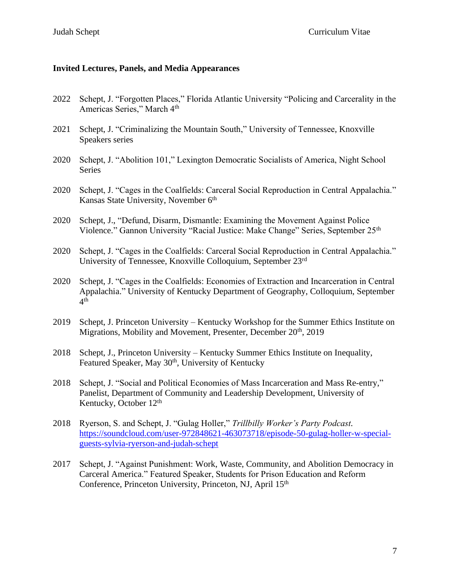#### **Invited Lectures, Panels, and Media Appearances**

- 2022 Schept, J. "Forgotten Places," Florida Atlantic University "Policing and Carcerality in the Americas Series," March 4<sup>th</sup>
- 2021 Schept, J. "Criminalizing the Mountain South," University of Tennessee, Knoxville Speakers series
- 2020 Schept, J. "Abolition 101," Lexington Democratic Socialists of America, Night School Series
- 2020 Schept, J. "Cages in the Coalfields: Carceral Social Reproduction in Central Appalachia." Kansas State University, November 6<sup>th</sup>
- 2020 Schept, J., "Defund, Disarm, Dismantle: Examining the Movement Against Police Violence." Gannon University "Racial Justice: Make Change" Series, September 25<sup>th</sup>
- 2020 Schept, J. "Cages in the Coalfields: Carceral Social Reproduction in Central Appalachia." University of Tennessee, Knoxville Colloquium, September 23rd
- 2020 Schept, J. "Cages in the Coalfields: Economies of Extraction and Incarceration in Central Appalachia." University of Kentucky Department of Geography, Colloquium, September 4 th
- 2019 Schept, J. Princeton University Kentucky Workshop for the Summer Ethics Institute on Migrations, Mobility and Movement, Presenter, December 20<sup>th</sup>, 2019
- 2018 Schept, J., Princeton University Kentucky Summer Ethics Institute on Inequality, Featured Speaker, May 30<sup>th</sup>, University of Kentucky
- 2018 Schept, J. "Social and Political Economies of Mass Incarceration and Mass Re-entry," Panelist, Department of Community and Leadership Development, University of Kentucky, October 12<sup>th</sup>
- 2018 Ryerson, S. and Schept, J. "Gulag Holler," *Trillbilly Worker's Party Podcast.*  [https://soundcloud.com/user-972848621-463073718/episode-50-gulag-holler-w-special](https://soundcloud.com/user-972848621-463073718/episode-50-gulag-holler-w-special-guests-sylvia-ryerson-and-judah-schept)[guests-sylvia-ryerson-and-judah-schept](https://soundcloud.com/user-972848621-463073718/episode-50-gulag-holler-w-special-guests-sylvia-ryerson-and-judah-schept)
- 2017 Schept, J. "Against Punishment: Work, Waste, Community, and Abolition Democracy in Carceral America." Featured Speaker, Students for Prison Education and Reform Conference, Princeton University, Princeton, NJ, April 15th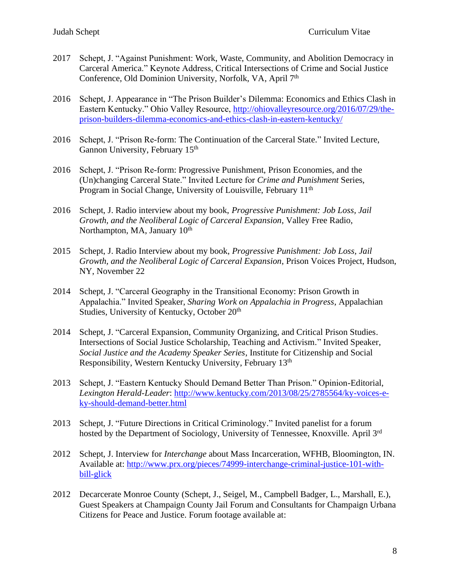- 2017 Schept, J. "Against Punishment: Work, Waste, Community, and Abolition Democracy in Carceral America." Keynote Address, Critical Intersections of Crime and Social Justice Conference, Old Dominion University, Norfolk, VA, April 7<sup>th</sup>
- 2016 Schept, J. Appearance in "The Prison Builder's Dilemma: Economics and Ethics Clash in Eastern Kentucky." Ohio Valley Resource, [http://ohiovalleyresource.org/2016/07/29/the](http://ohiovalleyresource.org/2016/07/29/the-prison-builders-dilemma-economics-and-ethics-clash-in-eastern-kentucky/)[prison-builders-dilemma-economics-and-ethics-clash-in-eastern-kentucky/](http://ohiovalleyresource.org/2016/07/29/the-prison-builders-dilemma-economics-and-ethics-clash-in-eastern-kentucky/)
- 2016 Schept, J. "Prison Re-form: The Continuation of the Carceral State." Invited Lecture, Gannon University, February 15<sup>th</sup>
- 2016 Schept, J. "Prison Re-form: Progressive Punishment, Prison Economies, and the (Un)changing Carceral State." Invited Lecture for *Crime and Punishment* Series, Program in Social Change, University of Louisville, February 11<sup>th</sup>
- 2016 Schept, J. Radio interview about my book, *Progressive Punishment: Job Loss, Jail Growth, and the Neoliberal Logic of Carceral Expansion*, Valley Free Radio, Northampton, MA, January 10<sup>th</sup>
- 2015 Schept, J. Radio Interview about my book, *Progressive Punishment: Job Loss, Jail Growth, and the Neoliberal Logic of Carceral Expansion*, Prison Voices Project, Hudson, NY, November 22
- 2014 Schept, J. "Carceral Geography in the Transitional Economy: Prison Growth in Appalachia." Invited Speaker, *Sharing Work on Appalachia in Progress*, Appalachian Studies, University of Kentucky, October 20<sup>th</sup>
- 2014 Schept, J. "Carceral Expansion, Community Organizing, and Critical Prison Studies. Intersections of Social Justice Scholarship, Teaching and Activism." Invited Speaker, *Social Justice and the Academy Speaker Series*, Institute for Citizenship and Social Responsibility, Western Kentucky University, February 13th
- 2013 Schept, J. "Eastern Kentucky Should Demand Better Than Prison." Opinion-Editorial, *Lexington Herald-Leader*: [http://www.kentucky.com/2013/08/25/2785564/ky-voices-e](http://www.kentucky.com/2013/08/25/2785564/ky-voices-e-ky-should-demand-better.html)[ky-should-demand-better.html](http://www.kentucky.com/2013/08/25/2785564/ky-voices-e-ky-should-demand-better.html)
- 2013 Schept, J. "Future Directions in Critical Criminology." Invited panelist for a forum hosted by the Department of Sociology, University of Tennessee, Knoxville. April 3rd
- 2012 Schept, J. Interview for *Interchange* about Mass Incarceration, WFHB, Bloomington, IN. Available at: [http://www.prx.org/pieces/74999-interchange-criminal-justice-101-with](http://www.prx.org/pieces/74999-interchange-criminal-justice-101-with-bill-glick)[bill-glick](http://www.prx.org/pieces/74999-interchange-criminal-justice-101-with-bill-glick)
- 2012 Decarcerate Monroe County (Schept, J., Seigel, M., Campbell Badger, L., Marshall, E.), Guest Speakers at Champaign County Jail Forum and Consultants for Champaign Urbana Citizens for Peace and Justice. Forum footage available at: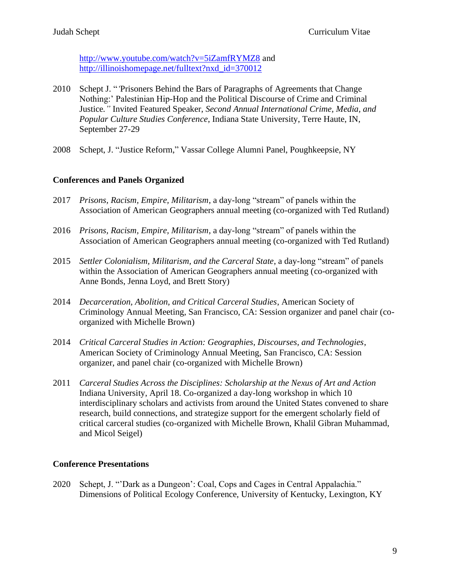<http://www.youtube.com/watch?v=5iZamfRYMZ8> and [http://illinoishomepage.net/fulltext?nxd\\_id=370012](http://illinoishomepage.net/fulltext?nxd_id=370012)

- 2010 Schept J. "*'*Prisoners Behind the Bars of Paragraphs of Agreements that Change Nothing:' Palestinian Hip-Hop and the Political Discourse of Crime and Criminal Justice*."* Invited Featured Speaker, *Second Annual International Crime, Media, and Popular Culture Studies Conference*, Indiana State University, Terre Haute, IN, September 27-29
- 2008 Schept, J. "Justice Reform," Vassar College Alumni Panel, Poughkeepsie, NY

## **Conferences and Panels Organized**

- 2017 *Prisons, Racism, Empire, Militarism*, a day-long "stream" of panels within the Association of American Geographers annual meeting (co-organized with Ted Rutland)
- 2016 *Prisons, Racism, Empire, Militarism*, a day-long "stream" of panels within the Association of American Geographers annual meeting (co-organized with Ted Rutland)
- 2015 *Settler Colonialism, Militarism, and the Carceral State*, a day-long "stream" of panels within the Association of American Geographers annual meeting (co-organized with Anne Bonds, Jenna Loyd, and Brett Story)
- 2014 *Decarceration, Abolition, and Critical Carceral Studies*, American Society of Criminology Annual Meeting, San Francisco, CA: Session organizer and panel chair (coorganized with Michelle Brown)
- 2014 *Critical Carceral Studies in Action: Geographies, Discourses, and Technologies*, American Society of Criminology Annual Meeting, San Francisco, CA: Session organizer, and panel chair (co-organized with Michelle Brown)
- 2011 *Carceral Studies Across the Disciplines: Scholarship at the Nexus of Art and Action* Indiana University, April 18. Co-organized a day-long workshop in which 10 interdisciplinary scholars and activists from around the United States convened to share research, build connections, and strategize support for the emergent scholarly field of critical carceral studies (co-organized with Michelle Brown, Khalil Gibran Muhammad, and Micol Seigel)

## **Conference Presentations**

2020 Schept, J. "'Dark as a Dungeon': Coal, Cops and Cages in Central Appalachia." Dimensions of Political Ecology Conference, University of Kentucky, Lexington, KY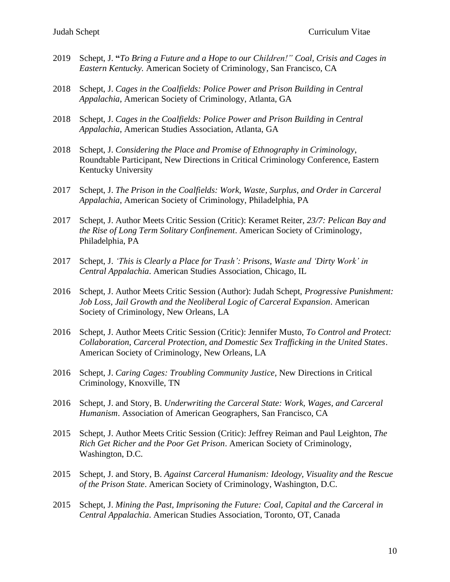- 2019 Schept, J. **"***To Bring a Future and a Hope to our Children!" Coal, Crisis and Cages in Eastern Kentucky.* American Society of Criminology, San Francisco, CA
- 2018 Schept, J. *Cages in the Coalfields: Police Power and Prison Building in Central Appalachia*, American Society of Criminology, Atlanta, GA
- 2018 Schept, J. *Cages in the Coalfields: Police Power and Prison Building in Central Appalachia*, American Studies Association, Atlanta, GA
- 2018 Schept, J. *Considering the Place and Promise of Ethnography in Criminology*, Roundtable Participant, New Directions in Critical Criminology Conference, Eastern Kentucky University
- 2017 Schept, J. *The Prison in the Coalfields: Work, Waste, Surplus, and Order in Carceral Appalachia*, American Society of Criminology, Philadelphia, PA
- 2017 Schept, J. Author Meets Critic Session (Critic): Keramet Reiter, *23/7: Pelican Bay and the Rise of Long Term Solitary Confinement*. American Society of Criminology, Philadelphia, PA
- 2017 Schept, J. *'This is Clearly a Place for Trash': Prisons, Waste and 'Dirty Work' in Central Appalachia*. American Studies Association, Chicago, IL
- 2016 Schept, J. Author Meets Critic Session (Author): Judah Schept, *Progressive Punishment: Job Loss, Jail Growth and the Neoliberal Logic of Carceral Expansion*. American Society of Criminology, New Orleans, LA
- 2016 Schept, J. Author Meets Critic Session (Critic): Jennifer Musto, *To Control and Protect: Collaboration, Carceral Protection, and Domestic Sex Trafficking in the United States*. American Society of Criminology, New Orleans, LA
- 2016 Schept, J. *Caring Cages: Troubling Community Justice*, New Directions in Critical Criminology, Knoxville, TN
- 2016 Schept, J. and Story, B. *Underwriting the Carceral State: Work, Wages, and Carceral Humanism*. Association of American Geographers, San Francisco, CA
- 2015 Schept, J. Author Meets Critic Session (Critic): Jeffrey Reiman and Paul Leighton, *The Rich Get Richer and the Poor Get Prison*. American Society of Criminology, Washington, D.C.
- 2015 Schept, J. and Story, B. *Against Carceral Humanism: Ideology, Visuality and the Rescue of the Prison State*. American Society of Criminology, Washington, D.C.
- 2015 Schept, J. *Mining the Past, Imprisoning the Future: Coal, Capital and the Carceral in Central Appalachia*. American Studies Association, Toronto, OT, Canada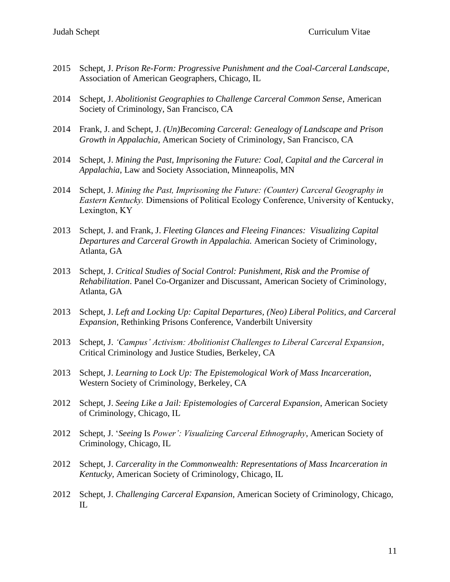- 2015 Schept, J. *Prison Re-Form: Progressive Punishment and the Coal-Carceral Landscape*, Association of American Geographers, Chicago, IL
- 2014 Schept, J. *Abolitionist Geographies to Challenge Carceral Common Sense*, American Society of Criminology, San Francisco, CA
- 2014 Frank, J. and Schept, J. *(Un)Becoming Carceral: Genealogy of Landscape and Prison Growth in Appalachia*, American Society of Criminology, San Francisco, CA
- 2014 Schept, J. *Mining the Past, Imprisoning the Future: Coal, Capital and the Carceral in Appalachia*, Law and Society Association, Minneapolis, MN
- 2014 Schept, J. *Mining the Past, Imprisoning the Future: (Counter) Carceral Geography in Eastern Kentucky.* Dimensions of Political Ecology Conference, University of Kentucky, Lexington, KY
- 2013 Schept, J. and Frank, J. *Fleeting Glances and Fleeing Finances: Visualizing Capital Departures and Carceral Growth in Appalachia.* American Society of Criminology, Atlanta, GA
- 2013 Schept, J. *Critical Studies of Social Control: Punishment, Risk and the Promise of Rehabilitation*. Panel Co-Organizer and Discussant, American Society of Criminology, Atlanta, GA
- 2013 Schept, J. *Left and Locking Up: Capital Departures, (Neo) Liberal Politics, and Carceral Expansion*, Rethinking Prisons Conference, Vanderbilt University
- 2013 Schept, J. *'Campus' Activism: Abolitionist Challenges to Liberal Carceral Expansion*, Critical Criminology and Justice Studies, Berkeley, CA
- 2013 Schept, J. *Learning to Lock Up: The Epistemological Work of Mass Incarceration*, Western Society of Criminology, Berkeley, CA
- 2012 Schept, J. *Seeing Like a Jail: Epistemologies of Carceral Expansion*, American Society of Criminology, Chicago, IL
- 2012 Schept, J. '*Seeing* Is *Power': Visualizing Carceral Ethnography*, American Society of Criminology, Chicago, IL
- 2012 Schept, J. *Carcerality in the Commonwealth: Representations of Mass Incarceration in Kentucky,* American Society of Criminology, Chicago, IL
- 2012 Schept, J. *Challenging Carceral Expansion,* American Society of Criminology, Chicago, IL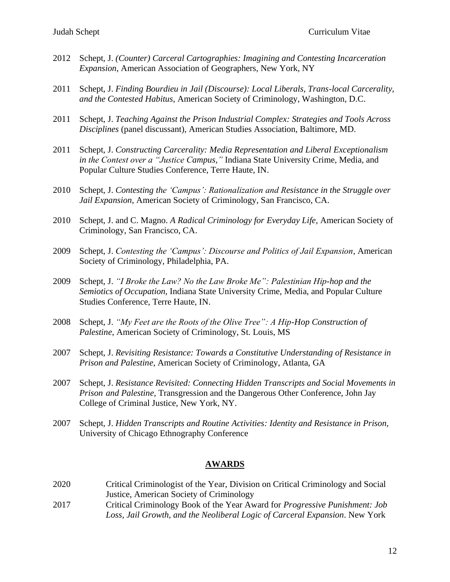- 2012 Schept, J. *(Counter) Carceral Cartographies: Imagining and Contesting Incarceration Expansion*, American Association of Geographers, New York, NY
- 2011 Schept, J. *[Finding Bourdieu in Jail \(Discourse\): Local Liberals, Trans-local Carcerality,](http://convention3.allacademic.com/one/asc/asc11/index.php?click_key=1&cmd=Multi+Search+Search+Load+Publication&publication_id=516312&PHPSESSID=0c13ad658b8769c281aba2f6156a3b98)  [and the Contested Habitus](http://convention3.allacademic.com/one/asc/asc11/index.php?click_key=1&cmd=Multi+Search+Search+Load+Publication&publication_id=516312&PHPSESSID=0c13ad658b8769c281aba2f6156a3b98)*, American Society of Criminology, Washington, D.C.
- 2011 Schept, J. *Teaching Against the Prison Industrial Complex: Strategies and Tools Across Disciplines* (panel discussant), American Studies Association, Baltimore, MD.
- 2011 Schept, J. *Constructing Carcerality: Media Representation and Liberal Exceptionalism in the Contest over a "Justice Campus,"* Indiana State University Crime, Media, and Popular Culture Studies Conference, Terre Haute, IN.
- 2010 Schept, J. *Contesting the 'Campus': Rationalization and Resistance in the Struggle over Jail Expansion*, American Society of Criminology, San Francisco, CA.
- 2010 Schept, J. and C. Magno. *A Radical Criminology for Everyday Life*, American Society of Criminology, San Francisco, CA.
- 2009 Schept, J. *Contesting the 'Campus': Discourse and Politics of Jail Expansion*, American Society of Criminology, Philadelphia, PA.
- 2009 Schept, J. *"I Broke the Law? No the Law Broke Me": Palestinian Hip-hop and the Semiotics of Occupation,* Indiana State University Crime, Media, and Popular Culture Studies Conference, Terre Haute, IN.
- 2008 Schept, J. *"My Feet are the Roots of the Olive Tree": A Hip-Hop Construction of Palestine*, American Society of Criminology, St. Louis, MS
- 2007 Schept, J. *Revisiting Resistance: Towards a Constitutive Understanding of Resistance in Prison and Palestine*, American Society of Criminology, Atlanta, GA
- 2007 Schept, J. *Resistance Revisited: Connecting Hidden Transcripts and Social Movements in Prison and Palestine,* Transgression and the Dangerous Other Conference, John Jay College of Criminal Justice, New York, NY.
- 2007 Schept, J. *Hidden Transcripts and Routine Activities: Identity and Resistance in Prison,*  University of Chicago Ethnography Conference

#### **AWARDS**

- 2020 Critical Criminologist of the Year, Division on Critical Criminology and Social Justice, American Society of Criminology
- 2017 Critical Criminology Book of the Year Award for *Progressive Punishment: Job Loss, Jail Growth, and the Neoliberal Logic of Carceral Expansion*. New York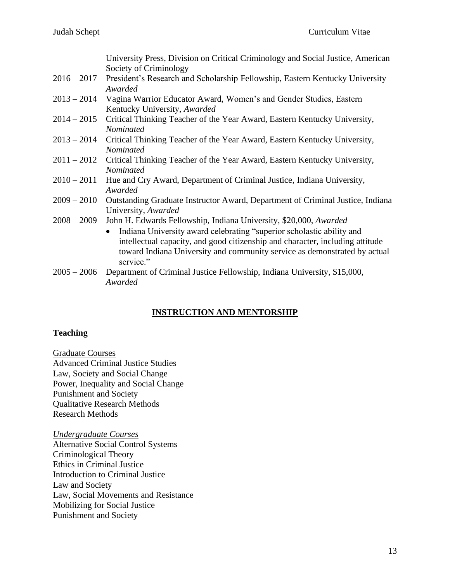|               | University Press, Division on Critical Criminology and Social Justice, American            |
|---------------|--------------------------------------------------------------------------------------------|
|               | Society of Criminology                                                                     |
| $2016 - 2017$ | President's Research and Scholarship Fellowship, Eastern Kentucky University               |
|               | Awarded                                                                                    |
|               | 2013 – 2014 Vagina Warrior Educator Award, Women's and Gender Studies, Eastern             |
|               | Kentucky University, Awarded                                                               |
|               |                                                                                            |
|               | 2014 - 2015 Critical Thinking Teacher of the Year Award, Eastern Kentucky University,      |
|               | Nominated                                                                                  |
| $2013 - 2014$ | Critical Thinking Teacher of the Year Award, Eastern Kentucky University,                  |
|               | Nominated                                                                                  |
|               |                                                                                            |
|               | 2011 – 2012 Critical Thinking Teacher of the Year Award, Eastern Kentucky University,      |
|               | Nominated                                                                                  |
| $2010 - 2011$ | Hue and Cry Award, Department of Criminal Justice, Indiana University,                     |
|               | Awarded                                                                                    |
|               |                                                                                            |
|               | 2009 – 2010 Outstanding Graduate Instructor Award, Department of Criminal Justice, Indiana |
|               | University, Awarded                                                                        |
| $2008 - 2009$ | John H. Edwards Fellowship, Indiana University, \$20,000, Awarded                          |
|               | Indiana University award celebrating "superior scholastic ability and<br>$\bullet$         |
|               |                                                                                            |
|               | intellectual capacity, and good citizenship and character, including attitude              |
|               | toward Indiana University and community service as demonstrated by actual                  |
|               | service."                                                                                  |
| $2005 - 2006$ | Department of Criminal Justice Fellowship, Indiana University, \$15,000,                   |
|               | Awarded                                                                                    |
|               |                                                                                            |

## **INSTRUCTION AND MENTORSHIP**

## **Teaching**

Graduate Courses Advanced Criminal Justice Studies Law, Society and Social Change Power, Inequality and Social Change Punishment and Society Qualitative Research Methods Research Methods

*Undergraduate Courses* Alternative Social Control Systems Criminological Theory Ethics in Criminal Justice Introduction to Criminal Justice Law and Society Law, Social Movements and Resistance Mobilizing for Social Justice Punishment and Society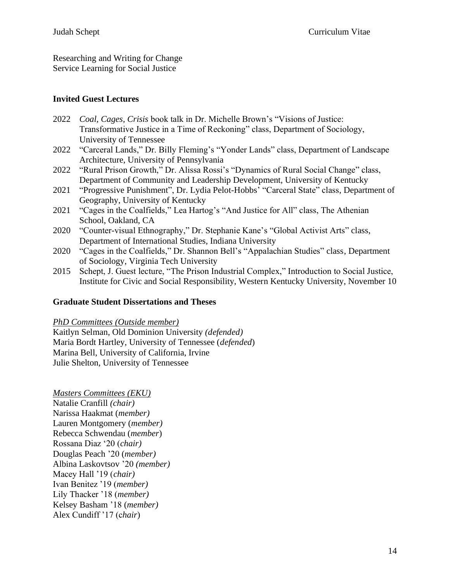Researching and Writing for Change Service Learning for Social Justice

## **Invited Guest Lectures**

- 2022 *Coal, Cages, Crisis* book talk in Dr. Michelle Brown's "Visions of Justice: Transformative Justice in a Time of Reckoning" class, Department of Sociology, University of Tennessee
- 2022 "Carceral Lands," Dr. Billy Fleming's "Yonder Lands" class, Department of Landscape Architecture, University of Pennsylvania
- 2022 "Rural Prison Growth," Dr. Alissa Rossi's "Dynamics of Rural Social Change" class, Department of Community and Leadership Development, University of Kentucky
- 2021 "Progressive Punishment", Dr. Lydia Pelot-Hobbs' "Carceral State" class, Department of Geography, University of Kentucky
- 2021 "Cages in the Coalfields," Lea Hartog's "And Justice for All" class, The Athenian School, Oakland, CA
- 2020 "Counter-visual Ethnography," Dr. Stephanie Kane's "Global Activist Arts" class, Department of International Studies, Indiana University
- 2020 "Cages in the Coalfields," Dr. Shannon Bell's "Appalachian Studies" class, Department of Sociology, Virginia Tech University
- 2015 Schept, J. Guest lecture, "The Prison Industrial Complex," Introduction to Social Justice, Institute for Civic and Social Responsibility, Western Kentucky University, November 10

## **Graduate Student Dissertations and Theses**

## *PhD Committees (Outside member)*

Kaitlyn Selman, Old Dominion University *(defended)* Maria Bordt Hartley, University of Tennessee (*defended*) Marina Bell, University of California, Irvine Julie Shelton, University of Tennessee

*Masters Committees (EKU)* Natalie Cranfill *(chair)* Narissa Haakmat (*member)* Lauren Montgomery (*member)* Rebecca Schwendau (*member*) Rossana Diaz '20 (*chair)* Douglas Peach '20 (*member)* Albina Laskovtsov '20 *(member)* Macey Hall '19 (*chair)* Ivan Benitez '19 (*member)* Lily Thacker '18 (*member)* Kelsey Basham '18 (*member)* Alex Cundiff '17 (c*hair*)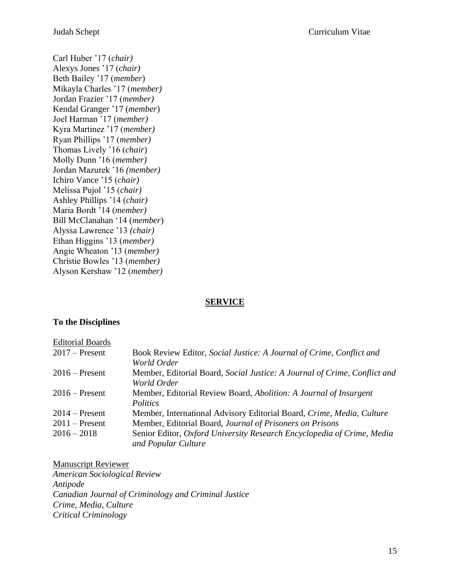Carl Huber '17 (*chair)* Alexys Jones '17 (*chair)* Beth Bailey '17 (*member*) Mikayla Charles '17 (*member)* Jordan Frazier '17 (*member)* Kendal Granger '17 (*member*) Joel Harman '17 (*member)* Kyra Martinez '17 (*member)* Ryan Phillips '17 (*member)* Thomas Lively '16 (*chair*) Molly Dunn '16 (*member)* Jordan Mazurek '16 *(member)* Ichiro Vance '15 (*chair)* Melissa Pujol '15 (*chair)* Ashley Phillips '14 (*chair)* Maria Bordt '14 (*member)* Bill McClanahan '14 (*member*) Alyssa Lawrence '13 *(chair)* Ethan Higgins '13 (*member)* Angie Wheaton '13 (*member)* Christie Bowles '13 (*member)* Alyson Kershaw '12 (*member)*

## **SERVICE**

## **To the Disciplines**

| <b>Editorial Boards</b> |                                                                                               |
|-------------------------|-----------------------------------------------------------------------------------------------|
| $2017$ – Present        | Book Review Editor, Social Justice: A Journal of Crime, Conflict and<br>World Order           |
| $2016$ – Present        | Member, Editorial Board, Social Justice: A Journal of Crime, Conflict and<br>World Order      |
| $2016$ – Present        | Member, Editorial Review Board, Abolition: A Journal of Insurgent<br>Politics                 |
| $2014$ – Present        | Member, International Advisory Editorial Board, Crime, Media, Culture                         |
| $2011$ – Present        | Member, Editorial Board, Journal of Prisoners on Prisons                                      |
| $2016 - 2018$           | Senior Editor, Oxford University Research Encyclopedia of Crime, Media<br>and Popular Culture |

Manuscript Reviewer *American Sociological Review Antipode Canadian Journal of Criminology and Criminal Justice Crime, Media, Culture Critical Criminology*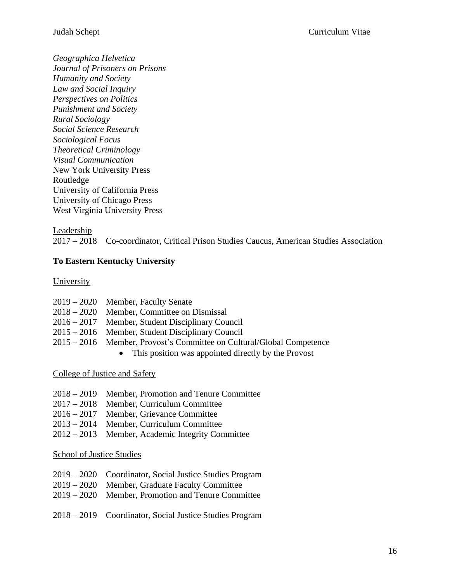*Geographica Helvetica Journal of Prisoners on Prisons Humanity and Society Law and Social Inquiry Perspectives on Politics Punishment and Society Rural Sociology Social Science Research Sociological Focus Theoretical Criminology Visual Communication* New York University Press Routledge University of California Press University of Chicago Press West Virginia University Press

## Leadership

2017 – 2018 Co-coordinator, Critical Prison Studies Caucus, American Studies Association

## **To Eastern Kentucky University**

**University** 

|  | 2019 – 2020 Member, Faculty Senate |  |
|--|------------------------------------|--|
|  |                                    |  |

- 2018 2020 Member, Committee on Dismissal
- 2016 2017 Member, Student Disciplinary Council
- 2015 2016 Member, Student Disciplinary Council
- 2015 2016 Member, Provost's Committee on Cultural/Global Competence
	- This position was appointed directly by the Provost

## College of Justice and Safety

- 2018 2019 Member, Promotion and Tenure Committee
- 2017 2018 Member, Curriculum Committee
- 2016 2017 Member, Grievance Committee
- 2013 2014 Member, Curriculum Committee
- 2012 2013 Member, Academic Integrity Committee

#### School of Justice Studies

- 2019 2020 Coordinator, Social Justice Studies Program
- 2019 2020 Member, Graduate Faculty Committee
- 2019 2020 Member, Promotion and Tenure Committee
- 2018 2019 Coordinator, Social Justice Studies Program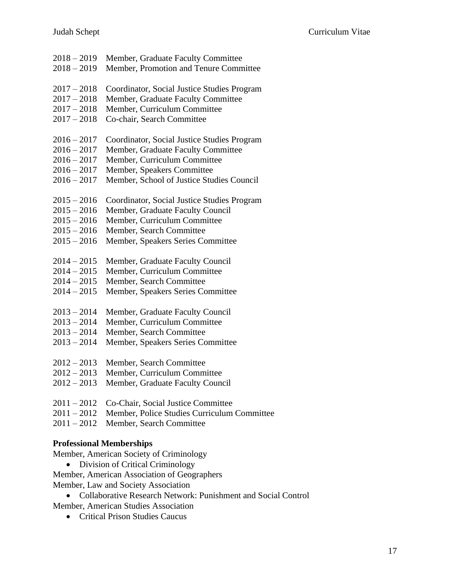| $2018 - 2019$ | Member, Graduate Faculty Committee          |
|---------------|---------------------------------------------|
| $2018 - 2019$ | Member, Promotion and Tenure Committee      |
| $2017 - 2018$ | Coordinator, Social Justice Studies Program |
| $2017 - 2018$ | Member, Graduate Faculty Committee          |
| $2017 - 2018$ | Member, Curriculum Committee                |
| $2017 - 2018$ | Co-chair, Search Committee                  |
| $2016 - 2017$ | Coordinator, Social Justice Studies Program |
| $2016 - 2017$ | Member, Graduate Faculty Committee          |
| $2016 - 2017$ | Member, Curriculum Committee                |
| $2016 - 2017$ | Member, Speakers Committee                  |
| $2016 - 2017$ | Member, School of Justice Studies Council   |
| $2015 - 2016$ | Coordinator, Social Justice Studies Program |
| $2015 - 2016$ | Member, Graduate Faculty Council            |
| $2015 - 2016$ | Member, Curriculum Committee                |
| $2015 - 2016$ | Member, Search Committee                    |
| $2015 - 2016$ | Member, Speakers Series Committee           |
| $2014 - 2015$ | Member, Graduate Faculty Council            |
| $2014 - 2015$ | Member, Curriculum Committee                |
| $2014 - 2015$ | Member, Search Committee                    |
| $2014 - 2015$ | Member, Speakers Series Committee           |
| $2013 - 2014$ | Member, Graduate Faculty Council            |
| $2013 - 2014$ | Member, Curriculum Committee                |
| $2013 - 2014$ | Member, Search Committee                    |
| $2013 - 2014$ | Member, Speakers Series Committee           |
| $2012 - 2013$ | Member, Search Committee                    |
| $2012 - 2013$ | Member, Curriculum Committee                |
| $2012 - 2013$ | Member, Graduate Faculty Council            |
| $2011 - 2012$ | Co-Chair, Social Justice Committee          |
| $2011 - 2012$ | Member, Police Studies Curriculum Committee |
| $2011 - 2012$ | Member, Search Committee                    |

## **Professional Memberships**

Member, American Society of Criminology

• Division of Critical Criminology

Member, American Association of Geographers

Member, Law and Society Association

- Collaborative Research Network: Punishment and Social Control Member, American Studies Association
	- Critical Prison Studies Caucus